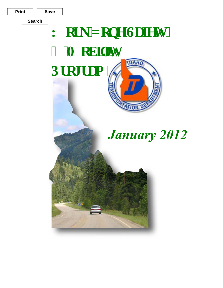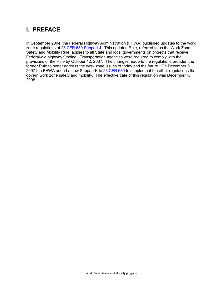# **I. PREFACE**

In September 2004, the Federal Highway Administration (FHWA) published updates to the work zone regulations at [23 CFR 630 Subpart J.](http://www.ecfr.gov/cgi-bin/text-idx?c=ecfr&sid=4326b3462801c075d9d260366f1f811e&rgn=div5&view=text&node=23:1.0.1.7.21&idno=23#23:1.0.1.7.21.9.1.1) This updated Rule, referred to as the Work Zone Safety and Mobility Rule, applies to all State and local governments on projects that receive Federal-aid highway funding. Transportation agencies were required to comply with the provisions of the Rule by October 12, 2007. The changes made to the regulations broaden the former Rule to better address the work zone issues of today and the future. On December 5, 2007 the FHWA added a new Subpart K to [23 CFR 630](http://www.ecfr.gov/cgi-bin/text-idx?c=ecfr&sid=4326b3462801c075d9d260366f1f811e&rgn=div5&view=text&node=23:1.0.1.7.21&idno=23#23:1.0.1.7.21.9.1.1) to supplement the other regulations that govern work zone safety and mobility. The effective date of this regulation was December 4, 2008.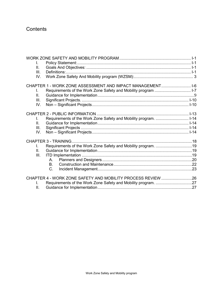# **Contents**

| L.           |                                                                  |  |
|--------------|------------------------------------------------------------------|--|
| $\Pi$ .      |                                                                  |  |
| III.         |                                                                  |  |
| IV.          |                                                                  |  |
|              | CHAPTER 1 - WORK ZONE ASSESSMENT AND IMPACT MANAGEMENT 1-6       |  |
| $\mathbf{L}$ |                                                                  |  |
| $\Pi$ .      |                                                                  |  |
| III.         |                                                                  |  |
| IV.          |                                                                  |  |
|              |                                                                  |  |
|              |                                                                  |  |
| $\mathbf{L}$ | Requirements of the Work Zone Safety and Mobility program.  I-14 |  |
| Ш.           |                                                                  |  |
| III.         |                                                                  |  |
| IV.          |                                                                  |  |
|              |                                                                  |  |
| L.           | Requirements of the Work Zone Safety and Mobility program. 19    |  |
| $\Pi$ .      |                                                                  |  |
| III.         |                                                                  |  |
|              | А.                                                               |  |
|              | В.                                                               |  |
|              | C.                                                               |  |
|              |                                                                  |  |
|              | CHAPTER 4 - WORK ZONE SAFETY AND MOBILITY PROCESS REVIEW 26      |  |
|              |                                                                  |  |
| II.          |                                                                  |  |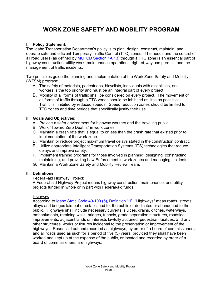# **WORK ZONE SAFETY AND MOBILITY PROGRAM**

# <span id="page-3-4"></span><span id="page-3-1"></span><span id="page-3-0"></span>**I. Policy Statement:**

The Idaho Transportation Department's policy is to plan, design, construct, maintain, and operate safe and efficient Temporary Traffic Control (TTC) zones. The needs and the control of all road users (as defined by [MUTCD Section 1A.13\)](http://mutcd.fhwa.dot.gov/htm/2009/part1/part1a.htm) through a TTC zone is an essential part of highway construction, utility work, maintenance operations, right-of-way use permits, and the management of traffic incidents.

Two principles guide the planning and implementation of the Work Zone Safety and Mobility (WZSM) program:

- A. The safety of motorists, pedestrians, bicyclists, individuals with disabilities, and workers is the top priority and must be an integral part of every project.
- B. Mobility of all forms of traffic shall be considered on every project. The movement of all forms of traffic through a TTC zones should be inhibited as little as possible. Traffic is inhibited by reduced speeds. Speed reduction zones should be limited to TTC zones and time periods that specifically justify their use.

### <span id="page-3-2"></span>**II. Goals And Objectives:**

- A. Provide a safer environment for highway workers and the traveling public
- B. Work "Toward Zero Deaths" in work zones.
- C. Maintain a crash rate that is equal to or less than the crash rate that existed prior to implementation of the work zone.
- D. Maintain or reduce project maximum travel delays stated in the construction contract.
- E. Utilize appropriate Intelligent Transportation Systems (ITS) technologies that reduce delays and improve safety.
- F. Implement training programs for those involved in planning, designing, constructing, maintaining, and providing Law Enforcement in work zones and managing incidents.
- G. Maintain a Work Zone Safety and Mobility Review Team.

# <span id="page-3-3"></span>**III. Definitions:**

### Federal-aid Highway Project:

A Federal-aid Highway Project means highway construction, maintenance, and utility projects funded in whole or in part with Federal-aid funds.

### Highway:

According to [Idaho State Code 40-109 \(5\), Definition "H",](http://legislature.idaho.gov/idstat/Title40/T40CH1SECT40-109.htm) "Highways" mean roads, streets, alleys and bridges laid out or established for the public or dedicated or abandoned to the public. Highways shall include necessary culverts, sluices, drains, ditches, waterways, embankments, retaining walls, bridges, tunnels, grade separation structures, roadside improvements, adjacent lands or interests lawfully acquired, pedestrian facilities, and any other structures, works or fixtures incidental to the preservation or improvement of the highways. Roads laid out and recorded as highways, by order of a board of commissioners, and all roads used as such for a period of five (5) years, provided they shall have been worked and kept up at the expense of the public, or located and recorded by order of a board of commissioners, are highways.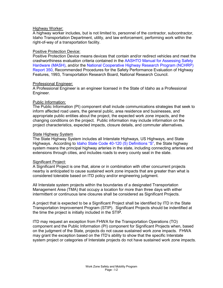#### Highway Worker:

A highway worker includes, but is not limited to, personnel of the contractor, subcontractor, Idaho Transportation Department, utility, and law enforcement, performing work within the right-of-way of a transportation facility.

#### Positive Protection Device:

Positive Protection Device means devices that contain and/or redirect vehicles and meet the crashworthiness evaluation criteria contained in the [AASHTO Manual for Assessing Safety](http://safety.fhwa.dot.gov/roadway_dept/policy_guide/road_hardware/ctrmeasures/mash/mash.pdf)  [Hardware \(MASH\),](http://safety.fhwa.dot.gov/roadway_dept/policy_guide/road_hardware/ctrmeasures/mash/mash.pdf) and/or the [National Cooperative Highway Research Program \(NCHRP\)](http://onlinepubs.trb.org/onlinepubs/nchrp/nchrp_rpt_350-a.pdf)  [Report 350, Recommended Procedures for the Safety Performance Evaluation of Highway](http://onlinepubs.trb.org/onlinepubs/nchrp/nchrp_rpt_350-a.pdf)  Features, 1993, Transportation Research Board, National Research Council.

#### Professional Engineer:

A Professional Engineer is an engineer licensed in the State of Idaho as a Professional Engineer.

#### Public Information:

The Public Information (PI) component shall include communications strategies that seek to inform affected road users, the general public, area residence and businesses, and appropriate public entities about the project, the expected work zone impacts, and the changing conditions on the project. Public information may include information on the project characteristics, expected impacts, closure details, and commuter alternatives.

#### State Highway System

The State Highway System includes all Interstate Highways, US Highways, and State Highways. According t[o Idaho State Code 40-120 \(5\) Definitions "S",](http://legislature.idaho.gov/idstat/Title40/T40CH1SECT40-120.htm) the State highway system means the principal highway arteries in the state, including connecting arteries and extensions through cities, and includes roads to every county seat in the state.

### Significant Project:

A Significant Project is one that, alone or in combination with other concurrent projects nearby is anticipated to cause sustained work zone impacts that are greater than what is considered tolerable based on ITD policy and/or engineering judgment.

All Interstate system projects within the boundaries of a designated Transportation Management Area (TMA) that occupy a location for more than three days with either intermittent or continuous lane closures shall be considered as Significant Projects.

A project that is expected to be a Significant Project shall be identified by ITD in the State Transportation Improvement Program (STIP). Significant Projects should be indentified at the time the project is initially included in the STIP.

ITD may request an exception from FHWA for the Transportation Operations (TO) component and the Public Information (PI) component for Significant Projects when, based on the judgment of the State, projects do not cause sustained work zone impacts. FHWA may grant the exception based on the ITD's ability to show that the specific Interstate system project or categories of Interstate projects do not have sustained work zone impacts.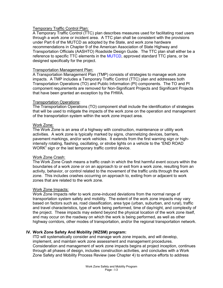### Temporary Traffic Control Plan:

A Temporary Traffic Control (TTC) plan describes measures used for facilitating road users through a work zone or incident area. A TTC plan shall be consistent with the provisions under Part 6 of the MUTCD as adopted by the State, and work zone hardware recommendations in Chapter 9 of the American Association of State Highway and Transportation Officials (AASHTO) Roadside Design Guide. The TTC plan shall either be a reference to specific TTC elements in the [MUTCD,](http://mutcd.fhwa.dot.gov/index.htm) approved standard TTC plans, or be designed specifically for the project.

#### Transportation Management Plan:

A Transportation Management Plan (TMP) consists of strategies to manage work zone impacts. A TMP includes a Temporary Traffic Control (TTC) plan and addresses both Transportation Operations (TO) and Public Information (PI) components. The TO and PI component requirements are removed for Non-Significant Projects and Significant Projects that have been granted an exception by the FHWA.

#### Transportation Operations:

The Transportation Operations (TO) component shall include the identification of strategies that will be used to mitigate the impacts of the work zone on the operation and management of the transportation system within the work zone impact area.

#### Work Zone:

The Work Zone is an area of a highway with construction, maintenance or utility work activities. A work zone is typically marked by signs, channelizing devices, barriers, pavement markings, and/or work vehicles. It extends from the first warning sign or highintensity rotating, flashing, oscillating, or strobe lights on a vehicle to the "END ROAD WORK" sign or the last temporary traffic control device.

### Work Zone Crash:

The Work Zone Crash means a traffic crash in which the first harmful event occurs within the boundaries of a work zone or on an approach to or exit from a work zone, resulting from an activity, behavior, or control related to the movement of the traffic units through the work zone. This includes crashes occurring on approach to, exiting from or adjacent to work zones that are related to the work zone.

#### Work Zone Impacts:

Work Zone Impacts refer to work zone-induced deviations from the normal range of transportation system safety and mobility. The extent of the work zone impacts may vary based on factors such as, road classification, area type (urban, suburban, and rural), traffic and travel characteristics, type of work being performed, time of day/night, and complexity of the project. These impacts may extend beyond the physical location of the work zone itself, and may occur on the roadway on which the work is being performed, as well as other highway corridors, other modes of transportation, and/or the regional transportation network.

### <span id="page-5-0"></span>**IV. Work Zone Safety And Mobility (WZSM) program:**

ITD will systematically consider and manage work zone impacts, and will develop, implement, and maintain work zone assessment and management procedures. Consideration and management of work zone impacts begins at project inception, continues through all phases of design, includes construction activities, and concludes with a [Work](#page-29-2)  Zone Safety and Mobility [Process Review](#page-29-2) (see Chapter 4) to enhance efforts to address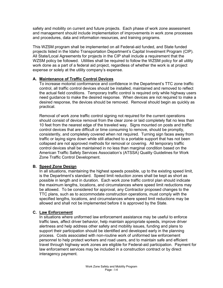safety and mobility on current and future projects. Each phase of work zone assessment and management should include implementation of improvements in work zone processes and procedures, data and information resources, and training programs.

This WZSM program shall be implemented on all Federal-aid funded, and State funded projects listed in the Idaho Transportation Department's Capital Investment Program (CIP). All State/Local Agreements for projects in the CIP shall include a requirement that the WZSM policy be followed. Utilities shall be required to follow the WZSM policy for all utility work done as a part of a federal aid project, regardless of whether the work is at project expense or solely at the utility company's expense.

# **A. Maintenance of Traffic Control Devices**

To increase motorist conformance and confidence in the Department's TTC zone traffic control, all traffic control devices should be installed, maintained and removed to reflect the actual field conditions. Temporary traffic control is required only while highway users need guidance to make the desired response. When devices are not required to make a desired response, the devices should be removed. Removal should begin as quickly as practical.

Removal of work zone traffic control signing not required for the current operations should consist of device removal from the clear zone or laid completely flat no less than 10 feet from the nearest edge of the traveled way. Signs mounted on posts and traffic control devices that are difficult or time consuming to remove, should be promptly, consistently, and completely covered when not required. Turning sign faces away from traffic or laying signs down while still attached to a portable support that has not been collapsed are not approved methods for removal or covering. All temporary traffic control devices shall be maintained in no less than marginal condition based on the American Traffic Safety Services Association's (ATSSA) Quality Guidelines for Work Zone Traffic Control Development.

### **B. Speed Zone Design**

In all situations, maintaining the highest speeds possible, up to the existing speed limit, is the Department's standard. Speed limit reduction zones shall be kept as short as possible in length and in duration. Each work zone traffic control plan should indicate the maximum lengths, locations, and circumstances where speed limit reductions may be allowed. To be considered for approval, any Contractor proposed changes to the TTC plans, such as to accommodate construction operations, must comply with the specified lengths, locations, and circumstances where speed limit reductions may be allowed and shall not be implemented before it is approved by the State.

# **C. Law Enforcement**

In situations where uniformed law enforcement assistance may be useful to enforce traffic laws, affect driver behavior, help maintain appropriate speeds, improve driver alertness and help address other safety and mobility issues, funding and plans to support their participation should be identified and developed early in the planning process. Costs associated with non-routine work of uniformed law enforcement personnel to help protect workers and road users, and to maintain safe and efficient travel through highway work zones are eligible for Federal-aid participation. Payment for law enforcement services may be included in a construction contract or by direct interagency payment.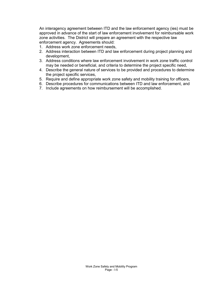An interagency agreement between ITD and the law enforcement agency (ies) must be approved in advance of the start of law enforcement involvement for reimbursable work zone activities. The District will prepare an agreement with the respective law enforcement agency. Agreements should:

- 1. Address work zone enforcement needs,
- 2. Address interaction between ITD and law enforcement during project planning and development,
- 3. Address conditions where law enforcement involvement in work zone traffic control may be needed or beneficial, and criteria to determine the project specific need,
- 4. Describe the general nature of services to be provided and procedures to determine the project specific services,
- 5. Require and define appropriate work zone safety and mobility training for officers,
- 6. Describe procedures for communications between ITD and law enforcement, and
- 7. Include agreements on how reimbursement will be accomplished.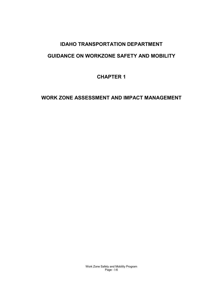# **IDAHO TRANSPORTATION DEPARTMENT**

# **GUIDANCE ON WORKZONE SAFETY AND MOBILITY**

**CHAPTER 1**

# <span id="page-8-0"></span>**WORK ZONE ASSESSMENT AND IMPACT MANAGEMENT**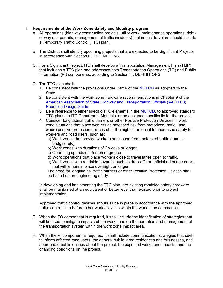# <span id="page-9-0"></span>**I. Requirements of the Work Zone Safety and Mobility program**

- A. All operations (highway construction projects, utility work, maintenance operations, rightof-way use permits, management of traffic incidents) that impact travelers should include a Temporary Traffic Control (TTC) plan.
- B. The District shall identify upcoming projects that are expected to be Significant Projects in accordance with [Section III. DEFINITIONS.](#page-3-4)
- C. For a Significant Project, ITD shall develop a Transportation Management Plan (TMP) that includes a TTC plan and addresses both Transportation Operations (TO) and Public Information (PI) components, according to Section III. [DEFINITIONS.](#page-3-4)
- D. The TTC plan shall:
	- 1. Be consistent with the provisions under Part 6 of the [MUTCD](http://mutcd.fhwa.dot.gov/index.htm) as adopted by the **State**
	- 2. Be consistent with the work zone hardware recommendations in Chapter 9 of the [American Association of State Highway and Transportation Officials \(AASHTO\)](https://bookstore.transportation.org/collection_detail.aspx?ID=105)  [Roadside Design Guide](https://bookstore.transportation.org/collection_detail.aspx?ID=105)
	- 3. Be a reference to either specific TTC elements in th[e MUTCD,](http://mutcd.fhwa.dot.gov/index.htm) to approved standard TTC plans, to ITD Department Manuals, or be designed specifically for the project.
	- 4. Consider longitudinal traffic barriers or other Positive Protection Devices in work zone situations that place workers at increased risk from motorized traffic, and where positive protection devices offer the highest potential for increased safety for workers and road users, such as:
		- a) Work zones that provide workers no escape from motorized traffic (tunnels, bridges, etc),
		- b) Work zones with durations of 2 weeks or longer,
		- c) Operating speeds of 45 mph or greater,
		- d) Work operations that place workers close to travel lanes open to traffic,
		- e) Work zones with roadside hazards, such as drop-offs or unfinished bridge decks, that will remain in place overnight or longer.

The need for longitudinal traffic barriers or other Positive Protection Devices shall be based on an engineering study.

In developing and implementing the TTC plan, pre-existing roadside safety hardware shall be maintained at an equivalent or better level than existed prior to project implementation.

Approved traffic control devices should all be in place in accordance with the approved traffic control plan before other work activities within the work zone commence.

- E. When the TO component is required, it shall include the identification of strategies that will be used to mitigate impacts of the work zone on the operation and management of the transportation system within the work zone impact area.
- F. When the PI component is required, it shall include communication strategies that seek to inform affected road users, the general public, area residences and businesses, and appropriate public entities about the project, the expected work zone impacts, and the changing conditions on the project.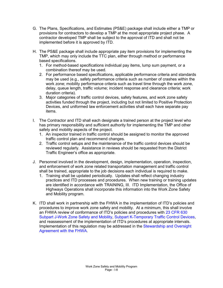- G. The Plans, Specifications, and Estimates (PS&E) package shall include either a TMP or provisions for contractors to develop a TMP at the most appropriate project phase. A contractor developed TMP shall be subject to the approval of ITD and shall not be implemented before it is approved by ITD.
- H. The PS&E package shall include appropriate pay item provisions for implementing the TMP, which may only include the TTC plan, either through method or performance based specifications.
	- 1. For method-based specifications individual pay items, lump sum payment, or a combination thereof may be used.
	- 2. For performance based specifications, applicable performance criteria and standards may be used (e.g., safety performance criteria such as number of crashes within the work zone; mobility performance criteria such as travel time through the work zone, delay, queue length, traffic volume; incident response and clearance criteria; work duration criteria).
	- 3. Major categories of traffic control devices, safety features, and work zone safety activities funded through the project, including but not limited to Positive Protection Devices, and uniformed law enforcement activities shall each have separate pay items.
- I. The Contractor and ITD shall each designate a trained person at the project level who has primary responsibility and sufficient authority for implementing the TMP and other safety and mobility aspects of the project.
	- 1. An inspector trained in traffic control should be assigned to monitor the approved traffic control plan and recommend changes.
	- 2. Traffic control setups and the maintenance of the traffic control devices should be reviewed regularly. Assistance in reviews should be requested from the District Traffic Engineer's office as appropriate.
- J. Personnel involved in the development, design, implementation, operation, inspection, and enforcement of work zone related transportation management and traffic control shall be trained, appropriate to the job decisions each individual is required to make.
	- 1. Training shall be updated periodically. Updates shall reflect changing industry practices and ITD processes and procedures. When new training or training updates are identified in accordance with TRAINING, III. ITD Implementation, the Office of Highways Operations shall incorporate this information into the Work Zone Safety and Mobility program.
- K. ITD shall work in partnership with the FHWA in the implementation of ITD's policies and procedures to improve work zone safety and mobility. At a minimum, this shall involve an FHWA review of conformance of ITD's policies and procedures with [23 CFR 630](http://www.ecfr.gov/cgi-bin/text-idx?c=ecfr&sid=4326b3462801c075d9d260366f1f811e&rgn=div5&view=text&node=23:1.0.1.7.21&idno=23#23:1.0.1.7.21.9.1.1)  [Subpart J-Work Zone Safety and Mobility, Subpart K-Temporary Traffic Control Devices,](http://www.ecfr.gov/cgi-bin/text-idx?c=ecfr&sid=4326b3462801c075d9d260366f1f811e&rgn=div5&view=text&node=23:1.0.1.7.21&idno=23#23:1.0.1.7.21.9.1.1) and reassessment of the implementation of ITD's procedures at appropriate intervals. Implementation of this regulation may be addressed in the Stewardship and Oversight Agreement with the FHWA.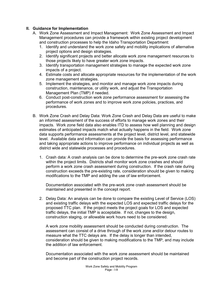### <span id="page-11-0"></span>**II. Guidance for Implementation**

- A. Work Zone Assessment and Impact Management: Work Zone Assessment and Impact Management procedures can provide a framework within existing project development and construction processes to help the Idaho Transportation Department:
	- 1. Identify and understand the work zone safety and mobility implications of alternative project options and design strategies.
	- 2. Identify significant projects and better allocate work zone management resources to those projects likely to have greater work zone impacts.
	- 3. Identify transportation management strategies to manage the expected work zone impacts of a project.
	- 4. Estimate costs and allocate appropriate resources for the implementation of the work zone management strategies.
	- 5. Implement the strategies, and monitor and manage work zone impacts during construction, maintenance, or utility work, and adjust the Transportation Management Plan (TMP) if needed.
	- 6. Conduct post-construction work zone performance assessment for assessing the performance of work zones and to improve work zone policies, practices, and procedures.
- B. Work Zone Crash and Delay Data: Work Zone Crash and Delay Data are useful to make an informed assessment of the success of efforts to manage work zones and their impacts. Work zone field data also enables ITD to assess how well planning and design estimates of anticipated impacts match what actually happens in the field. Work zone data supports performance assessments at the project level, district level, and statewide level. Available data and information can provide the basis for assessing performance and taking appropriate actions to improve performance on individual projects as well as district wide and statewide processes and procedures.
	- 1. Crash data: A crash analysis can be done to determine the pre-work zone crash rate within the project limits. Districts shall monitor work zone crashes and should perform a work zone crash assessment during construction. If the crash rate during construction exceeds the pre-existing rate, consideration should be given to making modifications to the TMP and adding the use of law enforcement.

Documentation associated with the pre-work zone crash assessment should be maintained and presented in the concept report.

2. Delay Data: An analysis can be done to compare the existing Level of Service (LOS) and existing traffic delays with the expected LOS and expected traffic delays for the proposed TTC plan. If the project meets the project goals for LOS and expected traffic delays, the initial TMP is acceptable. If not, changes to the design, construction staging, or allowable work hours need to be considered.

A work zone mobility assessment should be conducted during construction. The assessment can consist of a drive through of the work zone and/or detour routes to measure what the TTC delays are. If the delay is longer than intended, consideration should be given to making modifications to the TMP, and may include the addition of law enforcement.

Documentation associated with the work zone assessment should be maintained and become part of the construction project records.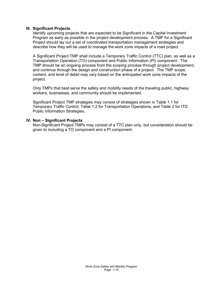#### <span id="page-12-0"></span>**III. Significant Projects**.

Identify upcoming projects that are expected to be Significant in the Capital Investment Program as early as possible in the project development process. A TMP for a Significant Project should lay out a set of coordinated transportation management strategies and describe how they will be used to manage the work zone impacts of a road project.

A Significant Project TMP shall include a Temporary Traffic Control (TTC) plan, as well as a Transportation Operation (TO) component and Public Information (PI) component. The TMP should be an ongoing process from the scoping process through project development, and continue through the design and construction phase of a project. The TMP scope, content, and level of detail may vary based on the anticipated work zone impacts of the project.

Only TMPs that best serve the safety and mobility needs of the traveling public, highway workers, businesses, and community should be implemented.

Significant Project TMP strategies may consist of strategies shown in Table 1.1 for Temporary Traffic Control, Table 1.2 for Transportation Operations, and Table 2 for ITD Public Information Strategies.

#### <span id="page-12-1"></span>**IV. Non – Significant Projects**

Non-Significant Project TMPs may consist of a TTC plan only, but consideration should be given to including a TO component and a PI component.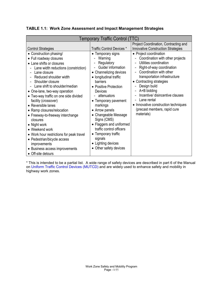| Temporary Traffic Control (TTC)                                                                                                                                                                                                                                                                                                                                                                                                                                                                                                                                                                                   |                                                                                                                                                                                                                                                                                                                                                                                                                            |                                                                                                                                                                                                                                                                                                                                                                                                                                                                                                                              |  |  |
|-------------------------------------------------------------------------------------------------------------------------------------------------------------------------------------------------------------------------------------------------------------------------------------------------------------------------------------------------------------------------------------------------------------------------------------------------------------------------------------------------------------------------------------------------------------------------------------------------------------------|----------------------------------------------------------------------------------------------------------------------------------------------------------------------------------------------------------------------------------------------------------------------------------------------------------------------------------------------------------------------------------------------------------------------------|------------------------------------------------------------------------------------------------------------------------------------------------------------------------------------------------------------------------------------------------------------------------------------------------------------------------------------------------------------------------------------------------------------------------------------------------------------------------------------------------------------------------------|--|--|
| <b>Control Strategies</b>                                                                                                                                                                                                                                                                                                                                                                                                                                                                                                                                                                                         | <b>Traffic Control Devices *</b>                                                                                                                                                                                                                                                                                                                                                                                           | Project Coordination, Contracting and<br><b>Innovative Construction Strategies</b>                                                                                                                                                                                                                                                                                                                                                                                                                                           |  |  |
| • Construction phasing/<br>• Full roadway closures<br>• Lane shifts or closures<br>Lane width reductions (constriction)<br>Lane closure<br>Reduced shoulder width<br>Shoulder closure<br>Lane shift to shoulder/median<br>• One-lane, two-way operation<br>• Two-way traffic on one side divided<br>facility (crossover)<br>• Reversible lanes<br>• Ramp closures/relocation<br>• Freeway-to-freeway interchange<br>closures<br>• Night work<br>• Weekend work<br>• Work hour restrictions for peak travel<br>• Pedestrian/bicycle access<br>improvements<br>• Business access improvements<br>• Off-site detours | • Temporary signs<br>Warning<br>Regulatory<br>Guide/ information<br>• Channelizing devices<br>• longitudinal traffic<br>barriers<br>• Positive Protection<br>Devices<br>attenuators<br>• Temporary pavement<br>markings<br>• Arrow panels<br>• Changeable Message<br>Signs (CMS)<br>• Flaggers and uniformed<br>traffic control officers<br>• Temporary traffic<br>signals<br>• Lighting devices<br>• Other safety devices | • Project coordination<br>Coordination with other projects<br>Utilities coordination<br>$\overline{\phantom{0}}$<br>Right-of-way coordination<br>$\overline{\phantom{0}}$<br>Coordination with other<br>$\overline{\phantom{0}}$<br>transportation infrastructure<br>• Contracting strategies<br>Design build<br>A+B bidding<br>$\overline{\phantom{0}}$<br>Incentive/ disincentive clauses<br>Lane rental<br>$\overline{\phantom{0}}$<br>• Innovative construction techniques<br>(precast members, rapid cure<br>materials) |  |  |

**TABLE 1.1: Work Zone Assessment and Impact Management Strategies**

\* This is intended to be a partial list. A wide range of safety devices are described in part 6 of the Manual on [Uniform Traffic Control Devices](http://mutcd.fhwa.dot.gov/index.htm) (MUTCD) and are widely used to enhance safety and mobility in highway work zones.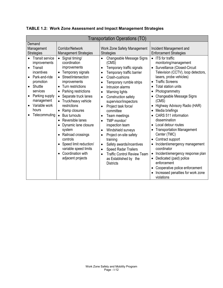| <b>Transportation Operations (TO)</b>                                                                                                                                                                                                                     |                                                                                                                                                                                                                                                                                                                                                                                                                                                                     |                                                                                                                                                                                                                                                                                                                                                                                                               |                                                                                                                                                                                                                                                                                                                                                                                                                                                                                                                      |  |  |
|-----------------------------------------------------------------------------------------------------------------------------------------------------------------------------------------------------------------------------------------------------------|---------------------------------------------------------------------------------------------------------------------------------------------------------------------------------------------------------------------------------------------------------------------------------------------------------------------------------------------------------------------------------------------------------------------------------------------------------------------|---------------------------------------------------------------------------------------------------------------------------------------------------------------------------------------------------------------------------------------------------------------------------------------------------------------------------------------------------------------------------------------------------------------|----------------------------------------------------------------------------------------------------------------------------------------------------------------------------------------------------------------------------------------------------------------------------------------------------------------------------------------------------------------------------------------------------------------------------------------------------------------------------------------------------------------------|--|--|
| Demand<br>Management<br><b>Strategies</b><br><b>Transit service</b><br>improvements<br>Transit<br>$\bullet$<br>incentives<br>Park-and-ride<br>promotion<br>Shuttle<br>services<br>Parking supply<br>management<br>Variable work<br>hours<br>Telecommuting | Corridor/Network<br><b>Management Strategies</b><br>Signal timing/<br>$\bullet$<br>coordination<br>improvements<br>Temporary signals<br>$\bullet$<br>Street/intersection<br>improvements<br>Turn restrictions<br>Parking restrictions<br>$\bullet$<br>Separate truck lanes<br>$\bullet$<br>Truck/heavy vehicle<br>restrictions<br>Ramp closures<br><b>Bus turnouts</b><br>$\bullet$<br>Reversible lanes<br>$\bullet$<br>Dynamic lane closure<br>$\bullet$<br>system | Work Zone Safety Management<br><b>Strategies</b><br>Changeable Message Signs<br>(CMS)<br>Temporary traffic signals<br>$\bullet$<br>Temporary traffic barrier<br>Crash-cushions<br>Temporary rumble strips<br>Intrusion alarms<br>Warning lights<br>Construction safety<br>supervisor/inspectors<br>Project task force/<br>committee<br>Team meetings<br>TMP monitor/<br>inspection team<br>Windshield surveys | Incident Management and<br><b>Enforcement Strategies</b><br>• ITS for traffic<br>monitoring/management<br>• Surveillance (Closed-Circuit<br>Television (CCTV), loop detectors,<br>lasers, probe vehicles)<br><b>Traffic Screens</b><br>$\bullet$<br>Total station units<br>Photogrammetry<br>Changeable Message Signs<br>(CMS)<br>• Highway Advisory Radio (HAR)<br>Media briefings<br>CARS 511 information<br>dissemination<br>Local detour routes<br>$\bullet$<br><b>Transportation Management</b><br>Center (TMC) |  |  |
|                                                                                                                                                                                                                                                           | Railroad crossings<br>controls<br>Speed limit reduction/<br>variable speed limits                                                                                                                                                                                                                                                                                                                                                                                   | Project on-site safety<br>training<br>Safety awards/incentives                                                                                                                                                                                                                                                                                                                                                | • Contract support<br>Incident/emergency management<br>coordinator                                                                                                                                                                                                                                                                                                                                                                                                                                                   |  |  |
|                                                                                                                                                                                                                                                           | Coordination with<br>adjacent projects                                                                                                                                                                                                                                                                                                                                                                                                                              | <b>Speed Radar Trailers</b><br><b>Traffic Control Review Team</b><br>as Established by the<br><b>Districts</b>                                                                                                                                                                                                                                                                                                | Incident/emergency response plan<br>• Dedicated (paid) police<br>enforcement<br>Cooperative police enforcement<br>Increased penalties for work zone<br>violations                                                                                                                                                                                                                                                                                                                                                    |  |  |

**TABLE 1.2: Work Zone Assessment and Impact Management Strategies**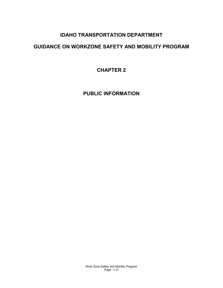# **IDAHO TRANSPORTATION DEPARTMENT**

# <span id="page-15-0"></span>**GUIDANCE ON WORKZONE SAFETY AND MOBILITY PROGRAM**

**CHAPTER 2**

**PUBLIC INFORMATION**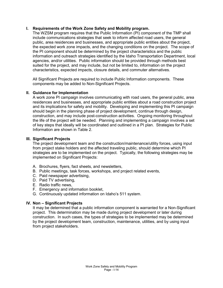# <span id="page-16-0"></span>**I. Requirements of the Work Zone Safety and Mobility program.**

The WZSM program requires that the Public Information (PI) component of the TMP shall include communications strategies that seek to inform affected road users, the general public, area residences and businesses, and appropriate public entities about the project, the expected work zone impacts, and the changing conditions on the project. The scope of the PI component should be determined by the project characteristics and the public information and outreach strategies identified by the Idaho Transportation Department, local agencies, and/or utilities. Public information should be provided through methods best suited for the project, and may include, but not be limited to, information on the project characteristics, expected impacts, closure details, and commuter alternatives.

All Significant Projects are required to include Public Information components. These components may be added to Non-Significant Projects.

### <span id="page-16-1"></span>**II. Guidance for Implementation**

A work zone PI campaign involves communicating with road users, the general public, area residences and businesses, and appropriate public entities about a road construction project and its implications for safety and mobility. Developing and implementing this PI campaign should begin in the planning phase of project development, continue through design, construction, and may include post-construction activities. Ongoing monitoring throughout the life of the project will be needed. Planning and implementing a campaign involves a set of key steps that ideally will be coordinated and outlined in a PI plan. Strategies for Public Information are shown in Table 2.

#### <span id="page-16-2"></span>**III. Significant Projects**

The project development team and the construction/maintenance/utility forces, using input from project stake holders and the affected traveling public, should determine which PI strategies are to be implemented on the project. Typically, the following strategies may be implemented on Significant Projects:

- A. Brochures, flyers, fact sheets, and newsletters,
- B. Public meetings, task forces, workshops, and project related events,
- C. Paid newspaper advertising,
- D. Paid TV advertising,
- E. Radio traffic news,
- F. Emergency and information booklet,
- G. Continuously updated information on Idaho's 511 system.

### <span id="page-16-3"></span>**IV. Non – Significant Projects**

It may be determined that a public information component is warranted for a Non-Significant project. This determination may be made during project development or later during construction. In such cases, the types of strategies to be implemented may be determined by the project development team, construction, maintenance, utilities, and by using input from project stakeholders.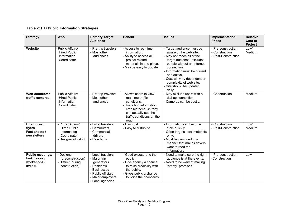# **Table 2: ITD Public Information Strategies**

| <b>Strategy</b>                                                   | Who                                                                                            | <b>Primary Target</b><br><b>Audience</b>                                                                                                      | <b>Benefit</b>                                                                                                                                                               | <b>Issues</b>                                                                                                                                                                                                                                                                                                 | Implementation<br><b>Phase</b>                              | <b>Relative</b><br>Cost to<br><b>Project</b> |
|-------------------------------------------------------------------|------------------------------------------------------------------------------------------------|-----------------------------------------------------------------------------------------------------------------------------------------------|------------------------------------------------------------------------------------------------------------------------------------------------------------------------------|---------------------------------------------------------------------------------------------------------------------------------------------------------------------------------------------------------------------------------------------------------------------------------------------------------------|-------------------------------------------------------------|----------------------------------------------|
| Website                                                           | Public Affairs/<br><b>Hired Public</b><br>Information<br>Coordinator                           | - Pre-trip travelers<br>- Most other<br>audiences                                                                                             | - Access to real-time<br>information.<br>- Ability to access all<br>project related<br>materials in one place.<br>- May be easy to update                                    | - Target audience must be<br>aware of the web site.<br>- May not reach all of the<br>target audience (excludes<br>people without an Internet<br>connection.<br>- Information must be current<br>and active.<br>- Cost will vary dependent on<br>complexity of web site.<br>- Site should be updated<br>daily. | - Pre-construction<br>- Construction<br>- Post-Construction | Low/<br>Medium                               |
| <b>Web-connected</b><br>traffic cameras                           | Public Affairs/<br><b>Hired Public</b><br>Information<br>Coordinator                           | - Pre-trip travelers<br>- Most other<br>audiences                                                                                             | - Allows users to view<br>real-time traffic<br>conditions.<br>- Users find information<br>credible because they<br>can actually see the<br>traffic conditions on the<br>road | - May exclude users with a<br>dial-up connection.<br>- Cameras can be costly.                                                                                                                                                                                                                                 | - Construction                                              | Medium                                       |
| <b>Brochures /</b><br>flyers<br>Fact sheets /<br>newsletters      | - Public Affairs/<br><b>Hired Public</b><br>Information<br>Coordinator<br>- Designers/District | - Local travelers<br>- Commuters<br>- Commercial<br>drivers<br>- Residents                                                                    | - Low cost<br>- Easy to distribute                                                                                                                                           | - Information can become<br>stale quickly.<br>- Often targets local motorists<br>only.<br>- Must be designed in a<br>manner that makes drivers<br>want to read the<br>information.                                                                                                                            | - Construction<br>- Post-Construction                       | Low/<br>Medium                               |
| <b>Public meetings/</b><br>task forces /<br>workshops /<br>events | - Designer<br>(preconstruction)<br>- District (during<br>construction)                         | - Local travelers<br>- Major trip<br>generators<br>- Residents<br>- Businesses<br>- Public officials<br>- Major employers<br>- Local agencies | - Good exposure to the<br>public.<br>- Give agency a chance<br>to raise credibility with<br>the public.<br>- Gives public a chance<br>to voice their concerns.               | - Need to make sure the right<br>audience is at the events.<br>- Need to be wary of making<br>"empty" promises.                                                                                                                                                                                               | - Pre-construction<br>-Construction                         | Low                                          |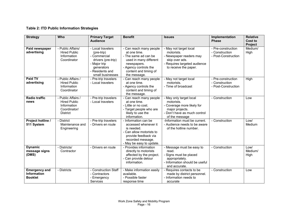# **Table 2: ITD Public Information Strategies**

| <b>Strategy</b>                                              | Who                                                                                         | <b>Primary Target</b><br><b>Audience</b>                                                                                                   | <b>Benefit</b>                                                                                                                                                             | <b>Issues</b>                                                                                                                              | Implementation<br><b>Phase</b>                              | <b>Relative</b><br>Cost to |
|--------------------------------------------------------------|---------------------------------------------------------------------------------------------|--------------------------------------------------------------------------------------------------------------------------------------------|----------------------------------------------------------------------------------------------------------------------------------------------------------------------------|--------------------------------------------------------------------------------------------------------------------------------------------|-------------------------------------------------------------|----------------------------|
| Paid newspaper<br>advertising                                | - Public Affairs/<br><b>Hired Public</b><br>Information<br>Coordinator                      | - Local travelers<br>(pre-trip)<br>- Commercial<br>drivers (pre-trip)<br>- Major trip<br>generators<br>- Residents and<br>small businesses | - Can reach many people<br>at one time.<br>- The same ad can be<br>used in many different<br>newspapers.<br>- Agency controls the<br>content and timing of<br>the message. | - May not target local<br>motorists.<br>- Newspaper readers may<br>skip over ads.<br>- Requires targeted audience<br>to receive the paper. | - Pre-construction<br>- Construction<br>- Post-Construction | Project<br>Medium/<br>High |
| Paid TV<br>advertising                                       | - Public Affairs /<br><b>Hired Public</b><br>Information<br>Coordinator                     | - Pre-trip travelers<br>- Local travelers                                                                                                  | - Can reach many people<br>at one time.<br>- Agency controls the<br>content and timing of<br>the message.                                                                  | - May not target local<br>motorists.<br>- Time of broadcast                                                                                | - Pre-construction<br>- Construction<br>- Post-Construction | High                       |
| <b>Radio traffic</b><br>news                                 | - Public Affairs /<br><b>Hired Public</b><br>Information<br>Coordinator/<br><b>District</b> | - Pre-trip travelers<br>- Local travelers                                                                                                  | - Can reach many people<br>at one time.<br>- Little or no cost.<br>- Target people who are<br>likely to use the<br>information.                                            | - May only target local<br>motorists.<br>- Coverage more likely for<br>major projects.<br>- Don't have as much control<br>of the message   | - Construction                                              | Low                        |
| Project hotline /<br>511 System                              | - District<br>Maintenance and<br>Engineering                                                | - Pre-trip travelers<br>- Drivers en route                                                                                                 | - Information can be<br>accessed whenever it<br>is needed.<br>- Can allow motorists to<br>provide feedback via<br>recorded message.<br>- May be easy to update.            | -Information must be current.<br>- Audience needs to be aware<br>of the hotline number.                                                    | - Construction                                              | Low/<br>Medium             |
| <b>Dynamic</b><br>message signs<br>(DMS)                     | - Districts/<br>Contractor                                                                  | - Drivers en route                                                                                                                         | - Provides information<br>directly to motorists<br>affected by the project.<br>- Can provide detour<br>information.                                                        | - Message must be easy to<br>read.<br>- Signs must be placed<br>appropriately.<br>- Information should be useful<br>and accurate.          | - Construction                                              | Low/<br>Medium/<br>High    |
| <b>Emergency and</b><br><b>Information</b><br><b>Booklet</b> | - Districts                                                                                 | <b>Construction Staff</b><br>- Contractors<br>- Emergency<br><b>Services</b>                                                               | - Make information easily<br>available.<br>- Possible faster<br>response time                                                                                              | - Requires contacts to be<br>made by district personnel.<br>- Information needs to<br>accurate                                             | - Construction                                              | Low                        |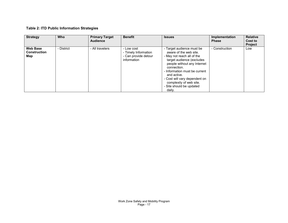# **Table 2: ITD Public Information Strategies**

| <b>Strategy</b>                               | <b>Who</b> | <b>Primary Target</b><br><b>Audience</b> | <b>Benefit</b>                                                            | <b>Issues</b>                                                                                                                                                                                                                                                                                                  | Implementation<br><b>Phase</b> | <b>Relative</b><br>Cost to<br><b>Project</b> |
|-----------------------------------------------|------------|------------------------------------------|---------------------------------------------------------------------------|----------------------------------------------------------------------------------------------------------------------------------------------------------------------------------------------------------------------------------------------------------------------------------------------------------------|--------------------------------|----------------------------------------------|
| <b>Web Base</b><br><b>Construction</b><br>Map | - District | - All travelers                          | - Low cost<br>- Timely Information<br>- Can provide detour<br>information | - Target audience must be<br>aware of the web site.<br>- May not reach all of the<br>target audience (excludes<br>people without any Internet<br>connection.<br>- Information must be current<br>and active.<br>- Cost will vary dependent on<br>complexity of web site.<br>- Site should be updated<br>dailv. | - Construction                 | Low                                          |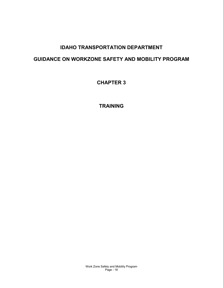# **IDAHO TRANSPORTATION DEPARTMENT**

# <span id="page-20-0"></span>**GUIDANCE ON WORKZONE SAFETY AND MOBILITY PROGRAM**

**CHAPTER 3**

**TRAINING**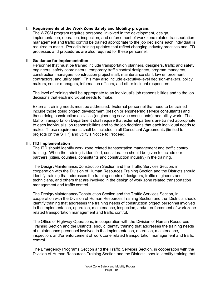## <span id="page-21-0"></span>**I. Requirements of the Work Zone Safety and Mobility program.**

The WZSM program requires personnel involved in the development, design, implementation, operation, inspection, and enforcement of work zone related transportation management and traffic control be trained appropriate to the job decisions each individual is required to make. Periodic training updates that reflect changing industry practices and ITD processes and procedures are also required for these personnel.

#### <span id="page-21-1"></span>**II. Guidance for Implementation**

Personnel that must be trained include transportation planners, designers, traffic and safety engineers, safety coordinators, temporary traffic control designers, program managers, construction managers, construction project staff, maintenance staff, law enforcement, contractors, and utility staff. This may also include executive-level decision-makers, policy makers, senior managers, information officers, and other incident responders.

The level of training shall be appropriate to an individual's job responsibilities and to the job decisions that each individual needs to make.

External training needs must be addressed. External personnel that need to be trained include those doing project development (design or engineering service consultants) and those doing construction activities (engineering service consultants), and utility work. The Idaho Transportation Department shall require that external partners are trained appropriate to each individual's job responsibilities and to the job decisions that each individual needs to make. These requirements shall be included in all Consultant Agreements (limited to projects on the STIP) and utility's Notice to Proceed.

#### <span id="page-21-2"></span>**III. ITD Implementation**

The ITD should identify work zone related transportation management and traffic control training. When the training is identified, consideration should be given to include our partners (cities, counties, consultants and construction industry) in the training.

The Design/Maintenance/Construction Section and the Traffic Services Section, in cooperation with the Division of Human Resources Training Section and the Districts should identify training that addresses the training needs of designers, traffic engineers and technicians, and others that are involved in the design of work zone related transportation management and traffic control.

The Design/Maintenance/Construction Section and the Traffic Services Section, in cooperation with the Division of Human Resources Training Section and the Districts should identify training that addresses the training needs of construction project personnel involved in the implementation, operation, maintenance, inspection, and/or enforcement of work zone related transportation management and traffic control.

The Office of Highway Operations, in cooperation with the Division of Human Resources Training Section and the Districts, should identify training that addresses the training needs of maintenance personnel involved in the implementation, operation, maintenance, inspection, and/or enforcement of work zone related transportation management and traffic control.

The Emergency Programs Section and the Traffic Services Section, in cooperation with the Division of Human Resources Training Section and the Districts, should identify training that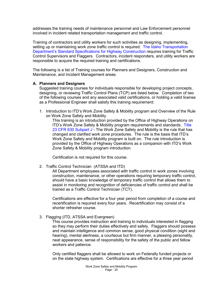addresses the training needs of maintenance personnel and Law Enforcement personnel involved in incident related transportation management and traffic control.

Training of contractors and utility workers for such activities as designing, implementing, setting up or maintaining work zone traffic control is required. [The Idaho Transportation](http://itd.idaho.gov/manuals/Manual%20Production/SpecBook/SpecHome.htm)  [Department's Standard Specifications for Highway Construction](http://itd.idaho.gov/manuals/Manual%20Production/SpecBook/SpecHome.htm) requires training for Traffic Control Supervisors and Flaggers. Contractors, incident responders, and utility workers are responsible to acquire the required training and certifications.

The following is a list of Training courses for Planners and Designers, Construction and Maintenance, and Incident Management areas:

#### <span id="page-22-0"></span>**A. Planners and Designers**

Suggested training courses for individuals responsible for developing project concepts, designing, or reviewing Traffic Control Plans (TCP) are listed below. Completion of two of the following courses and any associated valid certifications, or holding a valid license as a Professional Engineer shall satisfy this training requirement:

1. Introduction to ITD's Work Zone Safety & Mobility program and Overview of the Rule on Work Zone Safety and Mobility

This training is an introduction provided by the Office of Highway Operations on ITD's Work Zone Safety & Mobility program requirements and standards. [Title](http://www.ecfr.gov/cgi-bin/text-idx?c=ecfr&sid=4326b3462801c075d9d260366f1f811e&rgn=div5&view=text&node=23:1.0.1.7.21&idno=23#23:1.0.1.7.21.9.1.1)  [23 CFR 630 Subpart J](http://www.ecfr.gov/cgi-bin/text-idx?c=ecfr&sid=4326b3462801c075d9d260366f1f811e&rgn=div5&view=text&node=23:1.0.1.7.21&idno=23#23:1.0.1.7.21.9.1.1) - The Work Zone Safety and Mobility is the rule that has changed and clarified work zone procedures. The rule is the basis that ITD's Work Zone Safety and Mobility program is built on. The rule introduction is provided by the Office of Highway Operations as a companion with ITD's Work Zone Safety & Mobility program introduction.

Certification is not required for this course.

2. Traffic Control Technician (ATSSA and ITD)

All Department employees associated with traffic control in work zones involving construction, maintenance, or other operations requiring temporary traffic control, should have a basic knowledge of temporary traffic control that allows them to assist in monitoring and recognition of deficiencies of traffic control and shall be trained as a Traffic Control Technician (TCT).

Certifications are effective for a four year period from completion of a course and recertification is required every four years. Recertification may consist of a shorter refresher course.

3. Flagging (ITD, ATSSA and Evergreen)

This course provides instruction and training to individuals interested in flagging so they may perform their duties effectively and safely. Flaggers should possess and maintain intelligence and common sense, good physical condition (sight and hearing), mental alertness, a courteous but firm manner, a pleasing personality, neat appearance, sense of responsibility for the safety of the public and fellow workers and patience.

Only certified flaggers shall be allowed to work on Federally funded projects or on the state highway system. Certifications are effective for a three year period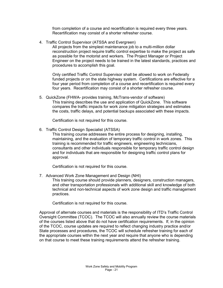from completion of a course and recertification is required every three years. Recertification may consist of a shorter refresher course.

4. Traffic Control Supervisor (ATSSA and Evergreen)

All projects from the simplest maintenance job to a multi-million dollar reconstruction project require traffic control expertise to make the project as safe as possible for the motorist and workers. The Project Manager or Project Engineer on the project needs to be trained in the latest standards, practices and procedures to accomplish this goal.

Only certified Traffic Control Supervisor shall be allowed to work on Federally funded projects or on the state highway system. Certifications are effective for a four year period from completion of a course and recertification is required every four years. Recertification may consist of a shorter refresher course.

5. QuickZone (FHWA- provides training, McTrans-vendor of software) This training describes the use and application of QuickZone. This software compares the traffic impacts for work zone mitigation strategies and estimates the costs, traffic delays, and potential backups associated with these impacts.

Certification is not required for this course.

6. Traffic Control Design Specialist (ATSSA)

This training course addresses the entire process for designing, installing, maintaining, and the evaluation of temporary traffic control in work zones. This training is recommended for traffic engineers, engineering technicians, consultants and other individuals responsible for temporary traffic control design and for individuals that are responsible for designing traffic control plans for approval.

Certification is not required for this course.

7. Advanced Work Zone Management and Design (NHI)

This training course should provide planners, designers, construction managers, and other transportation professionals with additional skill and knowledge of both technical and non-technical aspects of work zone design and traffic management practices.

Certification is not required for this course.

Approval of alternate courses and materials is the responsibility of ITD's Traffic Control Oversight Committee (TCOC). The TCOC will also annually review the course materials of the courses listed above that do not have certification requirements. If, in the opinion of the TCOC, course updates are required to reflect changing industry practice and/or State processes and procedures, the TCOC will schedule refresher training for each of the appropriate courses within the next year and require that anyone who is depending on that course to meet these training requirements attend the refresher training.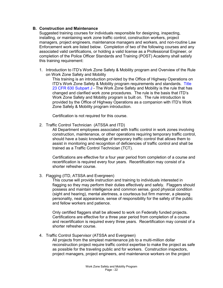### <span id="page-24-0"></span>**B. Construction and Maintenance**

Suggested training courses for individuals responsible for designing, inspecting, installing, or maintaining work zone traffic control, construction workers, project managers, project engineers, maintenance managers and workers, and non-routine Law Enforcement work are listed below. Completion of two of the following courses and any associated valid certifications, or holding a valid license as a Professional Engineer, or completion of the Police Officer Standards and Training (POST) Academy shall satisfy this training requirement:

1. Introduction to ITD's Work Zone Safety & Mobility program and Overview of the Rule on Work Zone Safety and Mobility

This training is an introduction provided by the Office of Highway Operations on ITD's Work Zone Safety & Mobility program requirements and standards. [Title](http://www.ecfr.gov/cgi-bin/text-idx?c=ecfr&sid=4326b3462801c075d9d260366f1f811e&rgn=div5&view=text&node=23:1.0.1.7.21&idno=23#23:1.0.1.7.21.9.1.1)  [23 CFR 630 Subpart J](http://www.ecfr.gov/cgi-bin/text-idx?c=ecfr&sid=4326b3462801c075d9d260366f1f811e&rgn=div5&view=text&node=23:1.0.1.7.21&idno=23#23:1.0.1.7.21.9.1.1) - The Work Zone Safety and Mobility is the rule that has changed and clarified work zone procedures. The rule is the basis that ITD's Work Zone Safety and Mobility program is built on. The rule introduction is provided by the Office of Highway Operations as a companion with ITD's Work Zone Safety & Mobility program introduction.

Certification is not required for this course.

2. Traffic Control Technician (ATSSA and ITD)

All Department employees associated with traffic control in work zones involving construction, maintenance, or other operations requiring temporary traffic control, should have a basic knowledge of temporary traffic control that allows them to assist in monitoring and recognition of deficiencies of traffic control and shall be trained as a Traffic Control Technician (TCT).

Certifications are effective for a four year period from completion of a course and recertification is required every four years. Recertification may consist of a shorter refresher course.

3. Flagging (ITD, ATSSA and Evergreen)

This course will provide instruction and training to individuals interested in flagging so they may perform their duties effectively and safely. Flaggers should possess and maintain intelligence and common sense, good physical condition (sight and hearing), mental alertness, a courteous but firm manner, a pleasing personality, neat appearance, sense of responsibility for the safety of the public and fellow workers and patience.

Only certified flaggers shall be allowed to work on Federally funded projects. Certifications are effective for a three year period from completion of a course and recertification is required every three years. Recertification may consist of a shorter refresher course.

4. Traffic Control Supervisor (ATSSA and Evergreen)

All projects from the simplest maintenance job to a multi-million dollar reconstruction project require traffic control expertise to make the project as safe as possible for the traveling public and for workers. Construction inspectors, project managers, project engineers, and maintenance workers on the project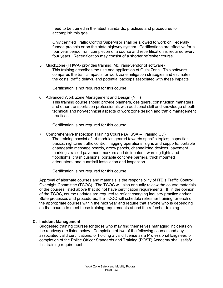need to be trained in the latest standards, practices and procedures to accomplish this goal.

Only certified Traffic Control Supervisor shall be allowed to work on Federally funded projects or on the state highway system. Certifications are effective for a four year period from completion of a course and recertification is required every four years. Recertification may consist of a shorter refresher course.

5. QuickZone (FHWA- provides training, McTrans-vendor of software) This training describes the use and application of QuickZone. This software compares the traffic impacts for work zone mitigation strategies and estimates the costs, traffic delays, and potential backups associated with these impacts

Certification is not required for this course.

6. Advanced Work Zone Management and Design (NHI) This training course should provide planners, designers, construction managers, and other transportation professionals with additional skill and knowledge of both technical and non-technical aspects of work zone design and traffic management practices.

Certification is not required for this course.

7. Comprehensive Inspection Training Course (ATSSA – Training CD) The training consist of 14 modules geared towards specific topics; Inspection basics, nighttime traffic control, flagging operations, signs and supports, portable changeable message boards, arrow panels, channelizing devices, pavement markings, raised pavement markers and delineators, warning lights and floodlights, crash cushions, portable concrete barriers, truck mounted attenuators, and guardrail installation and inspection.

Certification is not required for this course.

Approval of alternate courses and materials is the responsibility of ITD's Traffic Control Oversight Committee (TCOC). The TCOC will also annually review the course materials of the courses listed above that do not have certification requirements. If, in the opinion of the TCOC, course updates are required to reflect changing industry practice and/or State processes and procedures, the TCOC will schedule refresher training for each of the appropriate courses within the next year and require that anyone who is depending on that course to meet these training requirements attend the refresher training.

### <span id="page-25-0"></span>**C. Incident Management**

Suggested training courses for those who may find themselves managing incidents on the roadway are listed below. Completion of two of the following courses and any associated valid certifications, or holding a valid license as a Professional Engineer, or completion of the Police Officer Standards and Training (POST) Academy shall satisfy this training requirement: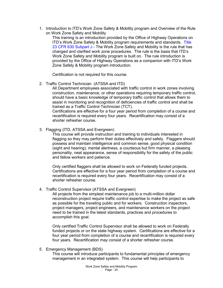1. Introduction to ITD's Work Zone Safety & Mobility program and Overview of the Rule on Work Zone Safety and Mobility

This training is an introduction provided by the Office of Highway Operations on ITD's Work Zone Safety & Mobility program requirements and standards. Title [23 CFR 630 Subpart J](http://www.ecfr.gov/cgi-bin/text-idx?c=ecfr&sid=4326b3462801c075d9d260366f1f811e&rgn=div5&view=text&node=23:1.0.1.7.21&idno=23#23:1.0.1.7.21.9.1.1) - The Work Zone Safety and Mobility is the rule that has changed and clarified work zone procedures. The rule is the basis that ITD's Work Zone Safety and Mobility program is built on. The rule introduction is provided by the Office of Highway Operations as a companion with ITD's Work Zone Safety & Mobility program introduction.

Certification is not required for this course.

2. Traffic Control Technician (ATSSA and ITD)

All Department employees associated with traffic control in work zones involving construction, maintenance, or other operations requiring temporary traffic control, should have a basic knowledge of temporary traffic control that allows them to assist in monitoring and recognition of deficiencies of traffic control and shall be trained as a Traffic Control Technician (TCT).

Certifications are effective for a four year period from completion of a course and recertification is required every four years. Recertification may consist of a shorter refresher course.

3. Flagging (ITD, ATSSA and Evergreen)

This course will provide instruction and training to individuals interested in flagging so they may perform their duties effectively and safely. Flaggers should possess and maintain intelligence and common sense, good physical condition (sight and hearing), mental alertness, a courteous but firm manner, a pleasing personality, neat appearance, sense of responsibility for the safety of the public and fellow workers and patience.

Only certified flaggers shall be allowed to work on Federally funded projects. Certifications are effective for a four year period from completion of a course and recertification is required every four years. Recertification may consist of a shorter refresher course.

4. Traffic Control Supervisor (ATSSA and Evergreen)

All projects from the simplest maintenance job to a multi-million dollar reconstruction project require traffic control expertise to make the project as safe as possible for the traveling public and for workers. Construction inspectors, project managers, project engineers, and maintenance workers on the project need to be trained in the latest standards, practices and procedures to accomplish this goal.

Only certified Traffic Control Supervisor shall be allowed to work on Federally funded projects or on the state highway system. Certifications are effective for a four year period from completion of a course and recertification is required every four years. Recertification may consist of a shorter refresher course.

5. Emergency Management (BDS)

This course will introduce participants to fundamental principles of emergency management in an integrated system. This course will help participants to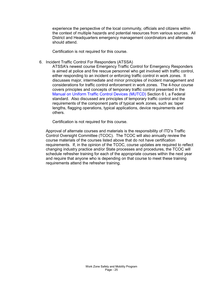experience the perspective of the local community, officials and citizens within the context of multiple hazards and potential resources from various sources. All District and Headquarters emergency management coordinators and alternates should attend.

Certification is not required for this course.

6. Incident Traffic Control For Responders (ATSSA)

ATSSA's newest course Emergency Traffic Control for Emergency Responders is aimed at police and fire rescue personnel who get involved with traffic control, either responding to an incident or enforcing traffic control in work zones. It discusses major, intermediate and minor principles of incident management and considerations for traffic control enforcement in work zones. The 4-hour course covers principles and concepts of temporary traffic control presented in the [Manual on Uniform Traffic Control Devices \(MUTCD\) Section 6](http://mutcd.fhwa.dot.gov/index.htm) I, a Federal standard. Also discussed are principles of temporary traffic control and the requirements of the component parts of typical work zones, such as: taper lengths, flagging operations, typical applications, device requirements and others.

Certification is not required for this course.

Approval of alternate courses and materials is the responsibility of ITD's Traffic Control Oversight Committee (TCOC). The TCOC will also annually review the course materials of the courses listed above that do not have certification requirements. If, in the opinion of the TCOC, course updates are required to reflect changing industry practice and/or State processes and procedures, the TCOC will schedule refresher training for each of the appropriate courses within the next year and require that anyone who is depending on that course to meet these training requirements attend the refresher training.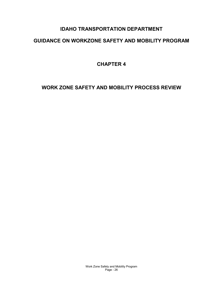# **IDAHO TRANSPORTATION DEPARTMENT**

# **GUIDANCE ON WORKZONE SAFETY AND MOBILITY PROGRAM**

**CHAPTER 4**

<span id="page-28-0"></span>**WORK ZONE SAFETY AND MOBILITY PROCESS REVIEW**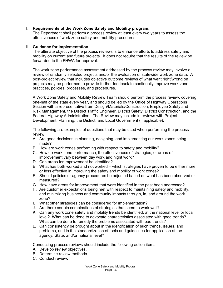# <span id="page-29-2"></span><span id="page-29-0"></span>**I. Requirements of the Work Zone Safety and Mobility program.**

The Department shall perform a process review at least every two years to assess the effectiveness of work zone safety and mobility procedures.

#### <span id="page-29-1"></span>**II. Guidance for Implementation**

The ultimate objective of the process reviews is to enhance efforts to address safety and mobility on current and future projects. It does not require that the results of the review be forwarded to the FHWA for approval.

The work zone performance assessment addressed by the process review may involve a review of randomly selected projects and/or the evaluation of statewide work zone data. A post-project review that includes objective outcome reviews of what went right/wrong on projects may be performed to provide further feedback to continually improve work zone practices, policies, processes, and procedures.

A Work Zone Safety and Mobility Review Team should perform the process review, covering one-half of the state every year, and should be led by the Office of Highway Operations Section with a representative from Design/Materials/Construction, Employee Safety and Risk Management, the District Traffic Engineer, District Safety, District Construction, and the Federal Highway Administration. The Review may include interviews with Project Development, Planning, the District, and Local Government (if applicable).

The following are examples of questions that may be used when performing the process review:

- A. Are good decisions in planning, designing, and implementing our work zones being made?
- B. How are work zones performing with respect to safety and mobility?
- C. How do work zone performance, the effectiveness of strategies, or areas of improvement vary between day work and night work?
- D. Can areas for improvement be identified?
- E. What has both worked and not worked which strategies have proven to be either more or less effective in improving the safety and mobility of work zones?
- F. Should policies or agency procedures be adjusted based on what has been observed or measured?
- G. How have areas for improvement that were identified in the past been addressed?
- H. Are customer expectations being met with respect to maintaining safety and mobility, and minimizing business and community impacts through, in, and around the work zone?
- I. What other strategies can be considered for implementation?
- J. Are there certain combinations of strategies that seem to work well?
- K. Can any work zone safety and mobility trends be identified, at the national level or local level? What can be done to advocate characteristics associated with good trends? What can be done to remedy the problems associated with bad trends?
- L. Can consistency be brought about in the identification of such trends, issues, and problems, and in the standardization of tools and guidelines for application at the agency, State, and/or national level?

Conducting process reviews should include the following action items:

- A. Develop review objectives.
- B. Determine review methods.
- C. Conduct review.